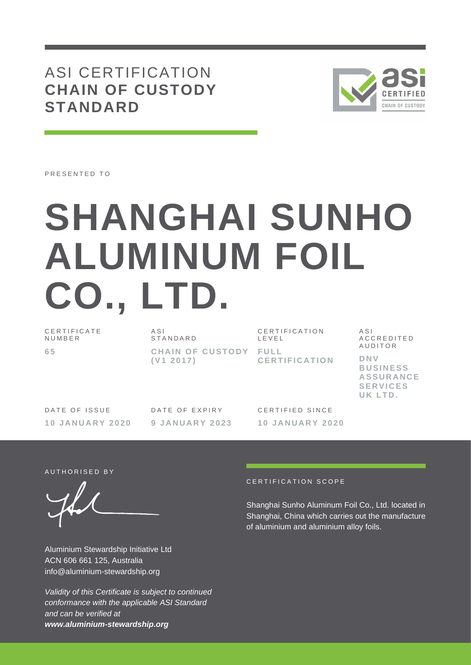## ASI CERTIFICATION **CHAIN OF CUSTODY STANDARD**



PRESENTED TO

# **SHANGHAI SUNHO ALUMINUM FOIL CO., LTD.**

C E R T I F I C A T E **NUMBER 6 5**

 $A S I$ **STANDARD CHAIN OF CUSTODY FULL ( V1 2 0 1 7 )**

C E R T I F I C A T I O N L E V E L **C E R T I F I C A T I O N** A S I A C C R E D I T E D **AUDITOR** 

**D N V B U S I N E S S A S S U R A N C E S E R V I C E S U K L T D .**

DATE OF ISSUE **1 0 J A N U A R Y 2 0 2 0** DATE OF EXPIRY **9 J A N U A R Y 2 0 2 3**

CERTIFIED SINCE **1 0 J A N U A R Y 2 0 2 0**

AUTHORISED BY

Aluminium Stewardship Initiative Ltd ACN 606 661 125, Australia info@aluminium-stewardship.org

*Validity of this Certificate is subject to continued conformance with the applicable ASI Standard and can be verified at www.aluminium-stewardship.org*

#### CERTIFICATION SCOPE

Shanghai Sunho Aluminum Foil Co., Ltd. located in Shanghai, China which carries out the manufacture of aluminium and aluminium alloy foils.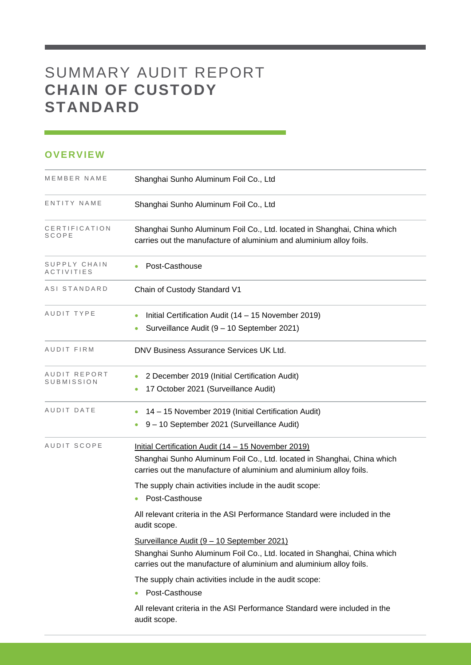## SUMMARY AUDIT REPORT **CHAIN OF CUSTODY STANDARD**

#### **OVERVIEW**

| MEMBER NAME                | Shanghai Sunho Aluminum Foil Co., Ltd                                                                                                                                                                                                                                              |
|----------------------------|------------------------------------------------------------------------------------------------------------------------------------------------------------------------------------------------------------------------------------------------------------------------------------|
| ENTITY NAME                | Shanghai Sunho Aluminum Foil Co., Ltd                                                                                                                                                                                                                                              |
| CERTIFICATION<br>SCOPE     | Shanghai Sunho Aluminum Foil Co., Ltd. located in Shanghai, China which<br>carries out the manufacture of aluminium and aluminium alloy foils.                                                                                                                                     |
| SUPPLY CHAIN<br>ACTIVITIES | Post-Casthouse                                                                                                                                                                                                                                                                     |
| ASI STANDARD               | Chain of Custody Standard V1                                                                                                                                                                                                                                                       |
| AUDIT TYPE                 | Initial Certification Audit (14 – 15 November 2019)<br>Surveillance Audit (9 - 10 September 2021)                                                                                                                                                                                  |
| AUDIT FIRM                 | DNV Business Assurance Services UK Ltd.                                                                                                                                                                                                                                            |
| AUDIT REPORT<br>SUBMISSION | 2 December 2019 (Initial Certification Audit)<br>17 October 2021 (Surveillance Audit)                                                                                                                                                                                              |
| AUDIT DATE                 | 14 - 15 November 2019 (Initial Certification Audit)<br>9 - 10 September 2021 (Surveillance Audit)                                                                                                                                                                                  |
| AUDIT SCOPE                | Initial Certification Audit (14 - 15 November 2019)<br>Shanghai Sunho Aluminum Foil Co., Ltd. located in Shanghai, China which<br>carries out the manufacture of aluminium and aluminium alloy foils.<br>The supply chain activities include in the audit scope:<br>Post-Casthouse |
|                            | All relevant criteria in the ASI Performance Standard were included in the<br>audit scope.                                                                                                                                                                                         |
|                            | Surveillance Audit (9 - 10 September 2021)<br>Shanghai Sunho Aluminum Foil Co., Ltd. located in Shanghai, China which<br>carries out the manufacture of aluminium and aluminium alloy foils.                                                                                       |
|                            | The supply chain activities include in the audit scope:<br>Post-Casthouse                                                                                                                                                                                                          |
|                            | All relevant criteria in the ASI Performance Standard were included in the<br>audit scope.                                                                                                                                                                                         |
|                            |                                                                                                                                                                                                                                                                                    |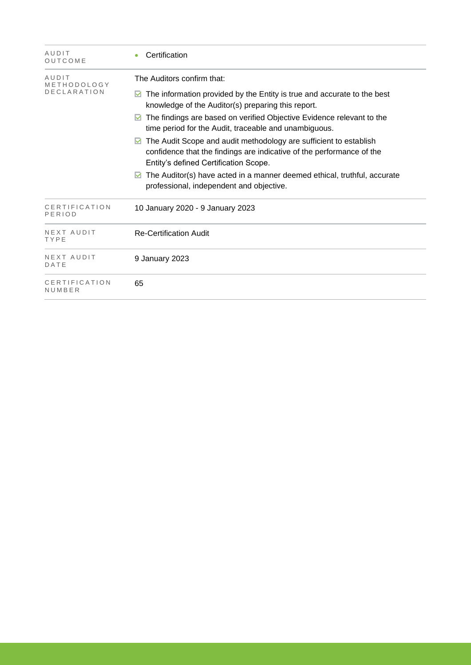| AUDIT<br>OUTCOME                           | Certification                                                                                                                                                                                                                                                                                                                                                                                                                                                                                                                                                                                                                    |
|--------------------------------------------|----------------------------------------------------------------------------------------------------------------------------------------------------------------------------------------------------------------------------------------------------------------------------------------------------------------------------------------------------------------------------------------------------------------------------------------------------------------------------------------------------------------------------------------------------------------------------------------------------------------------------------|
| AUDIT<br>METHODOLOGY<br><b>DECLARATION</b> | The Auditors confirm that:<br>The information provided by the Entity is true and accurate to the best<br>M<br>knowledge of the Auditor(s) preparing this report.<br>The findings are based on verified Objective Evidence relevant to the<br>M<br>time period for the Audit, traceable and unambiguous.<br>The Audit Scope and audit methodology are sufficient to establish<br>M<br>confidence that the findings are indicative of the performance of the<br>Entity's defined Certification Scope.<br>The Auditor(s) have acted in a manner deemed ethical, truthful, accurate<br>M<br>professional, independent and objective. |
| CERTIFICATION<br>PERIOD                    | 10 January 2020 - 9 January 2023                                                                                                                                                                                                                                                                                                                                                                                                                                                                                                                                                                                                 |
| NEXT AUDIT<br>TYPE                         | <b>Re-Certification Audit</b>                                                                                                                                                                                                                                                                                                                                                                                                                                                                                                                                                                                                    |
| NEXT AUDIT<br>DATE                         | 9 January 2023                                                                                                                                                                                                                                                                                                                                                                                                                                                                                                                                                                                                                   |
| CERTIFICATION<br>NUMBER                    | 65                                                                                                                                                                                                                                                                                                                                                                                                                                                                                                                                                                                                                               |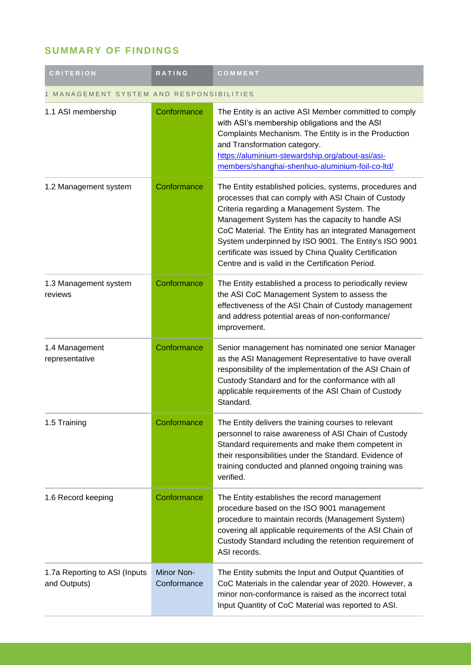### **SUMMARY OF FINDINGS**

| <b>CRITERION</b>                              | <b>RATING</b>                    | COMMENT                                                                                                                                                                                                                                                                                                                                                                                                                                           |
|-----------------------------------------------|----------------------------------|---------------------------------------------------------------------------------------------------------------------------------------------------------------------------------------------------------------------------------------------------------------------------------------------------------------------------------------------------------------------------------------------------------------------------------------------------|
| MANAGEMENT SYSTEM AND RESPONSIBILITIES        |                                  |                                                                                                                                                                                                                                                                                                                                                                                                                                                   |
| 1.1 ASI membership                            | Conformance                      | The Entity is an active ASI Member committed to comply<br>with ASI's membership obligations and the ASI<br>Complaints Mechanism. The Entity is in the Production<br>and Transformation category.<br>https://aluminium-stewardship.org/about-asi/asi-<br>members/shanghai-shenhuo-aluminium-foil-co-ltd/                                                                                                                                           |
| 1.2 Management system                         | Conformance                      | The Entity established policies, systems, procedures and<br>processes that can comply with ASI Chain of Custody<br>Criteria regarding a Management System. The<br>Management System has the capacity to handle ASI<br>CoC Material. The Entity has an integrated Management<br>System underpinned by ISO 9001. The Entity's ISO 9001<br>certificate was issued by China Quality Certification<br>Centre and is valid in the Certification Period. |
| 1.3 Management system<br>reviews              | Conformance                      | The Entity established a process to periodically review<br>the ASI CoC Management System to assess the<br>effectiveness of the ASI Chain of Custody management<br>and address potential areas of non-conformance/<br>improvement.                                                                                                                                                                                                                 |
| 1.4 Management<br>representative              | Conformance                      | Senior management has nominated one senior Manager<br>as the ASI Management Representative to have overall<br>responsibility of the implementation of the ASI Chain of<br>Custody Standard and for the conformance with all<br>applicable requirements of the ASI Chain of Custody<br>Standard.                                                                                                                                                   |
| 1.5 Training                                  | Conformance                      | The Entity delivers the training courses to relevant<br>personnel to raise awareness of ASI Chain of Custody<br>Standard requirements and make them competent in<br>their responsibilities under the Standard. Evidence of<br>training conducted and planned ongoing training was<br>verified.                                                                                                                                                    |
| 1.6 Record keeping                            | Conformance                      | The Entity establishes the record management<br>procedure based on the ISO 9001 management<br>procedure to maintain records (Management System)<br>covering all applicable requirements of the ASI Chain of<br>Custody Standard including the retention requirement of<br>ASI records.                                                                                                                                                            |
| 1.7a Reporting to ASI (Inputs<br>and Outputs) | <b>Minor Non-</b><br>Conformance | The Entity submits the Input and Output Quantities of<br>CoC Materials in the calendar year of 2020. However, a<br>minor non-conformance is raised as the incorrect total<br>Input Quantity of CoC Material was reported to ASI.                                                                                                                                                                                                                  |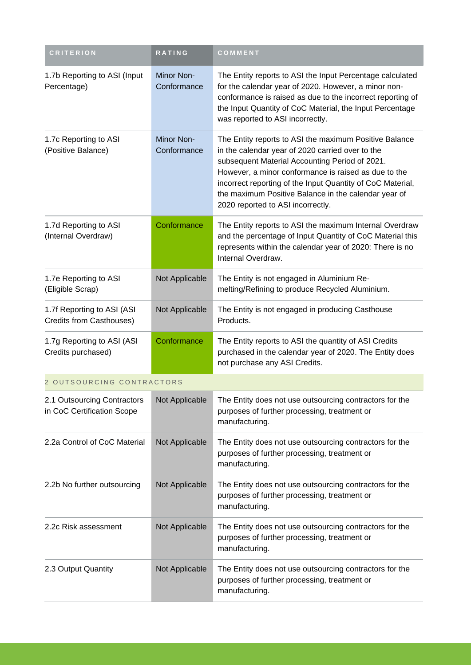| <b>CRITERION</b>                                          | RATING                    | COMMENT                                                                                                                                                                                                                                                                                                                                                                         |
|-----------------------------------------------------------|---------------------------|---------------------------------------------------------------------------------------------------------------------------------------------------------------------------------------------------------------------------------------------------------------------------------------------------------------------------------------------------------------------------------|
| 1.7b Reporting to ASI (Input<br>Percentage)               | Minor Non-<br>Conformance | The Entity reports to ASI the Input Percentage calculated<br>for the calendar year of 2020. However, a minor non-<br>conformance is raised as due to the incorrect reporting of<br>the Input Quantity of CoC Material, the Input Percentage<br>was reported to ASI incorrectly.                                                                                                 |
| 1.7c Reporting to ASI<br>(Positive Balance)               | Minor Non-<br>Conformance | The Entity reports to ASI the maximum Positive Balance<br>in the calendar year of 2020 carried over to the<br>subsequent Material Accounting Period of 2021.<br>However, a minor conformance is raised as due to the<br>incorrect reporting of the Input Quantity of CoC Material,<br>the maximum Positive Balance in the calendar year of<br>2020 reported to ASI incorrectly. |
| 1.7d Reporting to ASI<br>(Internal Overdraw)              | Conformance               | The Entity reports to ASI the maximum Internal Overdraw<br>and the percentage of Input Quantity of CoC Material this<br>represents within the calendar year of 2020: There is no<br>Internal Overdraw.                                                                                                                                                                          |
| 1.7e Reporting to ASI<br>(Eligible Scrap)                 | Not Applicable            | The Entity is not engaged in Aluminium Re-<br>melting/Refining to produce Recycled Aluminium.                                                                                                                                                                                                                                                                                   |
| 1.7f Reporting to ASI (ASI<br>Credits from Casthouses)    | Not Applicable            | The Entity is not engaged in producing Casthouse<br>Products.                                                                                                                                                                                                                                                                                                                   |
| 1.7g Reporting to ASI (ASI<br>Credits purchased)          | Conformance               | The Entity reports to ASI the quantity of ASI Credits<br>purchased in the calendar year of 2020. The Entity does<br>not purchase any ASI Credits.                                                                                                                                                                                                                               |
| 2 OUTSOURCING CONTRACTORS                                 |                           |                                                                                                                                                                                                                                                                                                                                                                                 |
| 2.1 Outsourcing Contractors<br>in CoC Certification Scope | Not Applicable            | The Entity does not use outsourcing contractors for the<br>purposes of further processing, treatment or<br>manufacturing.                                                                                                                                                                                                                                                       |
| 2.2a Control of CoC Material                              | Not Applicable            | The Entity does not use outsourcing contractors for the<br>purposes of further processing, treatment or<br>manufacturing.                                                                                                                                                                                                                                                       |
| 2.2b No further outsourcing                               | Not Applicable            | The Entity does not use outsourcing contractors for the<br>purposes of further processing, treatment or<br>manufacturing.                                                                                                                                                                                                                                                       |
| 2.2c Risk assessment                                      | Not Applicable            | The Entity does not use outsourcing contractors for the<br>purposes of further processing, treatment or<br>manufacturing.                                                                                                                                                                                                                                                       |
| 2.3 Output Quantity                                       | Not Applicable            | The Entity does not use outsourcing contractors for the<br>purposes of further processing, treatment or<br>manufacturing.                                                                                                                                                                                                                                                       |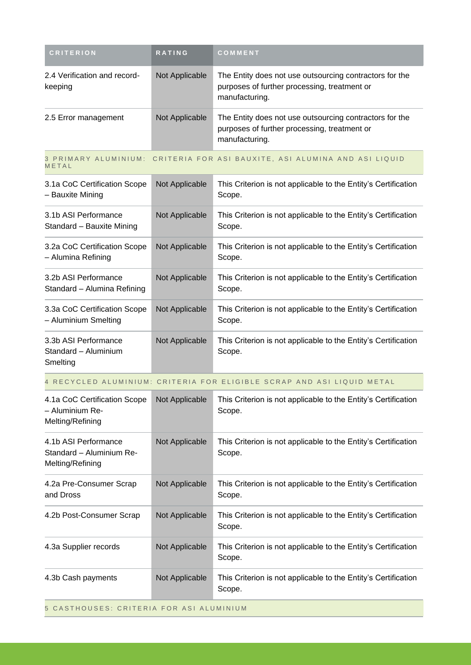| <b>CRITERION</b>                                                     | RATING         | COMMENT                                                                                                                   |
|----------------------------------------------------------------------|----------------|---------------------------------------------------------------------------------------------------------------------------|
| 2.4 Verification and record-<br>keeping                              | Not Applicable | The Entity does not use outsourcing contractors for the<br>purposes of further processing, treatment or<br>manufacturing. |
| 2.5 Error management                                                 | Not Applicable | The Entity does not use outsourcing contractors for the<br>purposes of further processing, treatment or<br>manufacturing. |
| METAL                                                                |                | 3 PRIMARY ALUMINIUM: CRITERIA FOR ASI BAUXITE, ASI ALUMINA AND ASI LIQUID                                                 |
| 3.1a CoC Certification Scope<br>- Bauxite Mining                     | Not Applicable | This Criterion is not applicable to the Entity's Certification<br>Scope.                                                  |
| 3.1b ASI Performance<br>Standard - Bauxite Mining                    | Not Applicable | This Criterion is not applicable to the Entity's Certification<br>Scope.                                                  |
| 3.2a CoC Certification Scope<br>- Alumina Refining                   | Not Applicable | This Criterion is not applicable to the Entity's Certification<br>Scope.                                                  |
| 3.2b ASI Performance<br>Standard - Alumina Refining                  | Not Applicable | This Criterion is not applicable to the Entity's Certification<br>Scope.                                                  |
| 3.3a CoC Certification Scope<br>- Aluminium Smelting                 | Not Applicable | This Criterion is not applicable to the Entity's Certification<br>Scope.                                                  |
| 3.3b ASI Performance<br>Standard - Aluminium<br>Smelting             | Not Applicable | This Criterion is not applicable to the Entity's Certification<br>Scope.                                                  |
|                                                                      |                | 4 RECYCLED ALUMINIUM: CRITERIA FOR ELIGIBLE SCRAP AND ASI LIQUID METAL                                                    |
| 4.1a CoC Certification Scope<br>- Aluminium Re-<br>Melting/Refining  | Not Applicable | This Criterion is not applicable to the Entity's Certification<br>Scope.                                                  |
| 4.1b ASI Performance<br>Standard - Aluminium Re-<br>Melting/Refining | Not Applicable | This Criterion is not applicable to the Entity's Certification<br>Scope.                                                  |
| 4.2a Pre-Consumer Scrap<br>and Dross                                 | Not Applicable | This Criterion is not applicable to the Entity's Certification<br>Scope.                                                  |
| 4.2b Post-Consumer Scrap                                             | Not Applicable | This Criterion is not applicable to the Entity's Certification<br>Scope.                                                  |
| 4.3a Supplier records                                                | Not Applicable | This Criterion is not applicable to the Entity's Certification<br>Scope.                                                  |
| 4.3b Cash payments                                                   | Not Applicable | This Criterion is not applicable to the Entity's Certification<br>Scope.                                                  |
| 5 CASTHOUSES: CRITERIA FOR ASI ALUMINIUM                             |                |                                                                                                                           |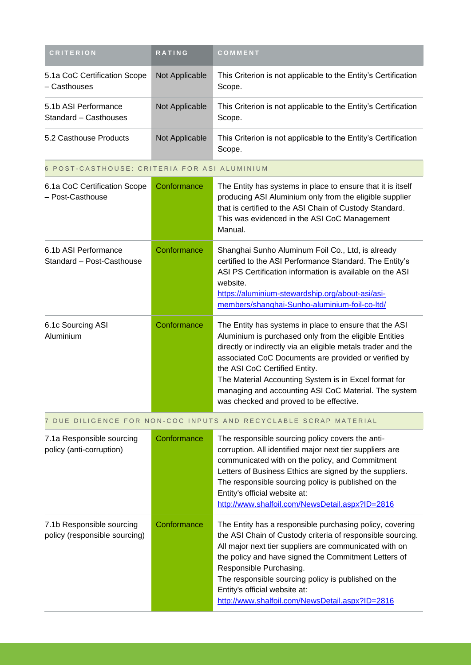| <b>CRITERION</b>                                           | RATING         | COMMENT                                                                                                                                                                                                                                                                                                                                                                                                                               |
|------------------------------------------------------------|----------------|---------------------------------------------------------------------------------------------------------------------------------------------------------------------------------------------------------------------------------------------------------------------------------------------------------------------------------------------------------------------------------------------------------------------------------------|
|                                                            |                |                                                                                                                                                                                                                                                                                                                                                                                                                                       |
| 5.1a CoC Certification Scope<br>- Casthouses               | Not Applicable | This Criterion is not applicable to the Entity's Certification<br>Scope.                                                                                                                                                                                                                                                                                                                                                              |
| 5.1b ASI Performance<br>Standard - Casthouses              | Not Applicable | This Criterion is not applicable to the Entity's Certification<br>Scope.                                                                                                                                                                                                                                                                                                                                                              |
| 5.2 Casthouse Products                                     | Not Applicable | This Criterion is not applicable to the Entity's Certification<br>Scope.                                                                                                                                                                                                                                                                                                                                                              |
| 6 POST-CASTHOUSE: CRITERIA FOR ASI ALUMINIUM               |                |                                                                                                                                                                                                                                                                                                                                                                                                                                       |
| 6.1a CoC Certification Scope<br>- Post-Casthouse           | Conformance    | The Entity has systems in place to ensure that it is itself<br>producing ASI Aluminium only from the eligible supplier<br>that is certified to the ASI Chain of Custody Standard.<br>This was evidenced in the ASI CoC Management<br>Manual.                                                                                                                                                                                          |
| 6.1b ASI Performance<br>Standard - Post-Casthouse          | Conformance    | Shanghai Sunho Aluminum Foil Co., Ltd, is already<br>certified to the ASI Performance Standard. The Entity's<br>ASI PS Certification information is available on the ASI<br>website.<br>https://aluminium-stewardship.org/about-asi/asi-<br>members/shanghai-Sunho-aluminium-foil-co-ltd/                                                                                                                                             |
| 6.1c Sourcing ASI<br>Aluminium                             | Conformance    | The Entity has systems in place to ensure that the ASI<br>Aluminium is purchased only from the eligible Entities<br>directly or indirectly via an eligible metals trader and the<br>associated CoC Documents are provided or verified by<br>the ASI CoC Certified Entity.<br>The Material Accounting System is in Excel format for<br>managing and accounting ASI CoC Material. The system<br>was checked and proved to be effective. |
| 7.                                                         |                | DUE DILIGENCE FOR NON-COC INPUTS AND RECYCLABLE SCRAP MATERIAL                                                                                                                                                                                                                                                                                                                                                                        |
| 7.1a Responsible sourcing<br>policy (anti-corruption)      | Conformance    | The responsible sourcing policy covers the anti-<br>corruption. All identified major next tier suppliers are<br>communicated with on the policy, and Commitment<br>Letters of Business Ethics are signed by the suppliers.<br>The responsible sourcing policy is published on the<br>Entity's official website at:<br>http://www.shalfoil.com/NewsDetail.aspx?ID=2816                                                                 |
| 7.1b Responsible sourcing<br>policy (responsible sourcing) | Conformance    | The Entity has a responsible purchasing policy, covering<br>the ASI Chain of Custody criteria of responsible sourcing.<br>All major next tier suppliers are communicated with on<br>the policy and have signed the Commitment Letters of<br>Responsible Purchasing.<br>The responsible sourcing policy is published on the<br>Entity's official website at:<br>http://www.shalfoil.com/NewsDetail.aspx?ID=2816                        |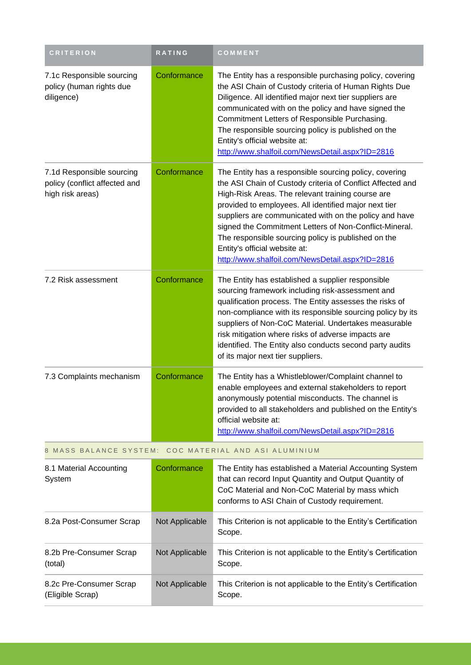| <b>CRITERION</b>                                                               | RATING         | COMMENT                                                                                                                                                                                                                                                                                                                                                                                                                                                                                           |
|--------------------------------------------------------------------------------|----------------|---------------------------------------------------------------------------------------------------------------------------------------------------------------------------------------------------------------------------------------------------------------------------------------------------------------------------------------------------------------------------------------------------------------------------------------------------------------------------------------------------|
| 7.1c Responsible sourcing<br>policy (human rights due<br>diligence)            | Conformance    | The Entity has a responsible purchasing policy, covering<br>the ASI Chain of Custody criteria of Human Rights Due<br>Diligence. All identified major next tier suppliers are<br>communicated with on the policy and have signed the<br>Commitment Letters of Responsible Purchasing.<br>The responsible sourcing policy is published on the<br>Entity's official website at:<br>http://www.shalfoil.com/NewsDetail.aspx?ID=2816                                                                   |
| 7.1d Responsible sourcing<br>policy (conflict affected and<br>high risk areas) | Conformance    | The Entity has a responsible sourcing policy, covering<br>the ASI Chain of Custody criteria of Conflict Affected and<br>High-Risk Areas. The relevant training course are<br>provided to employees. All identified major next tier<br>suppliers are communicated with on the policy and have<br>signed the Commitment Letters of Non-Conflict-Mineral.<br>The responsible sourcing policy is published on the<br>Entity's official website at:<br>http://www.shalfoil.com/NewsDetail.aspx?ID=2816 |
| 7.2 Risk assessment                                                            | Conformance    | The Entity has established a supplier responsible<br>sourcing framework including risk-assessment and<br>qualification process. The Entity assesses the risks of<br>non-compliance with its responsible sourcing policy by its<br>suppliers of Non-CoC Material. Undertakes measurable<br>risk mitigation where risks of adverse impacts are<br>identified. The Entity also conducts second party audits<br>of its major next tier suppliers.                                                     |
| 7.3 Complaints mechanism                                                       | Conformance    | The Entity has a Whistleblower/Complaint channel to<br>enable employees and external stakeholders to report<br>anonymously potential misconducts. The channel is<br>provided to all stakeholders and published on the Entity's<br>official website at:<br>http://www.shalfoil.com/NewsDetail.aspx?ID=2816                                                                                                                                                                                         |
| 8 MASS BALANCE SYSTEM:                                                         |                | COC MATERIAL AND ASI ALUMINIUM                                                                                                                                                                                                                                                                                                                                                                                                                                                                    |
| 8.1 Material Accounting<br>System                                              | Conformance    | The Entity has established a Material Accounting System<br>that can record Input Quantity and Output Quantity of<br>CoC Material and Non-CoC Material by mass which<br>conforms to ASI Chain of Custody requirement.                                                                                                                                                                                                                                                                              |
| 8.2a Post-Consumer Scrap                                                       | Not Applicable | This Criterion is not applicable to the Entity's Certification<br>Scope.                                                                                                                                                                                                                                                                                                                                                                                                                          |
| 8.2b Pre-Consumer Scrap<br>(total)                                             | Not Applicable | This Criterion is not applicable to the Entity's Certification<br>Scope.                                                                                                                                                                                                                                                                                                                                                                                                                          |

Not Applicable This Criterion is not applicable to the Entity's Certification

Scope.

8.2c Pre-Consumer Scrap

(Eligible Scrap)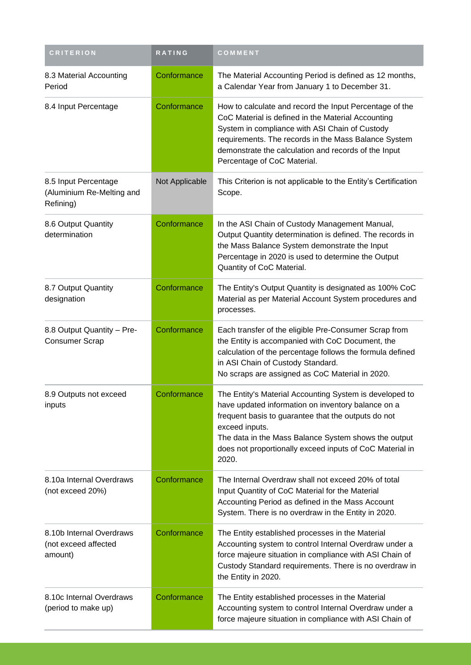| <b>CRITERION</b>                                               | RATING         | COMMENT                                                                                                                                                                                                                                                                                                             |
|----------------------------------------------------------------|----------------|---------------------------------------------------------------------------------------------------------------------------------------------------------------------------------------------------------------------------------------------------------------------------------------------------------------------|
| 8.3 Material Accounting<br>Period                              | Conformance    | The Material Accounting Period is defined as 12 months,<br>a Calendar Year from January 1 to December 31.                                                                                                                                                                                                           |
| 8.4 Input Percentage                                           | Conformance    | How to calculate and record the Input Percentage of the<br>CoC Material is defined in the Material Accounting<br>System in compliance with ASI Chain of Custody<br>requirements. The records in the Mass Balance System<br>demonstrate the calculation and records of the Input<br>Percentage of CoC Material.      |
| 8.5 Input Percentage<br>(Aluminium Re-Melting and<br>Refining) | Not Applicable | This Criterion is not applicable to the Entity's Certification<br>Scope.                                                                                                                                                                                                                                            |
| 8.6 Output Quantity<br>determination                           | Conformance    | In the ASI Chain of Custody Management Manual,<br>Output Quantity determination is defined. The records in<br>the Mass Balance System demonstrate the Input<br>Percentage in 2020 is used to determine the Output<br>Quantity of CoC Material.                                                                      |
| 8.7 Output Quantity<br>designation                             | Conformance    | The Entity's Output Quantity is designated as 100% CoC<br>Material as per Material Account System procedures and<br>processes.                                                                                                                                                                                      |
| 8.8 Output Quantity - Pre-<br><b>Consumer Scrap</b>            | Conformance    | Each transfer of the eligible Pre-Consumer Scrap from<br>the Entity is accompanied with CoC Document, the<br>calculation of the percentage follows the formula defined<br>in ASI Chain of Custody Standard.<br>No scraps are assigned as CoC Material in 2020.                                                      |
| 8.9 Outputs not exceed<br>inputs                               | Conformance    | The Entity's Material Accounting System is developed to<br>have updated information on inventory balance on a<br>frequent basis to guarantee that the outputs do not<br>exceed inputs.<br>The data in the Mass Balance System shows the output<br>does not proportionally exceed inputs of CoC Material in<br>2020. |
| 8.10a Internal Overdraws<br>(not exceed 20%)                   | Conformance    | The Internal Overdraw shall not exceed 20% of total<br>Input Quantity of CoC Material for the Material<br>Accounting Period as defined in the Mass Account<br>System. There is no overdraw in the Entity in 2020.                                                                                                   |
| 8.10b Internal Overdraws<br>(not exceed affected<br>amount)    | Conformance    | The Entity established processes in the Material<br>Accounting system to control Internal Overdraw under a<br>force majeure situation in compliance with ASI Chain of<br>Custody Standard requirements. There is no overdraw in<br>the Entity in 2020.                                                              |
| 8.10c Internal Overdraws<br>(period to make up)                | Conformance    | The Entity established processes in the Material<br>Accounting system to control Internal Overdraw under a<br>force majeure situation in compliance with ASI Chain of                                                                                                                                               |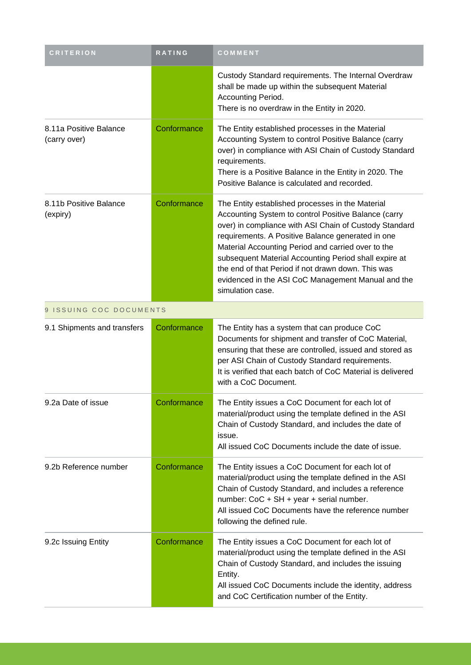| <b>CRITERION</b>                       | <b>RATING</b> | COMMENT                                                                                                                                                                                                                                                                                                                                                                                                                                                                |
|----------------------------------------|---------------|------------------------------------------------------------------------------------------------------------------------------------------------------------------------------------------------------------------------------------------------------------------------------------------------------------------------------------------------------------------------------------------------------------------------------------------------------------------------|
|                                        |               | Custody Standard requirements. The Internal Overdraw<br>shall be made up within the subsequent Material<br>Accounting Period.<br>There is no overdraw in the Entity in 2020.                                                                                                                                                                                                                                                                                           |
| 8.11a Positive Balance<br>(carry over) | Conformance   | The Entity established processes in the Material<br>Accounting System to control Positive Balance (carry<br>over) in compliance with ASI Chain of Custody Standard<br>requirements.<br>There is a Positive Balance in the Entity in 2020. The<br>Positive Balance is calculated and recorded.                                                                                                                                                                          |
| 8.11b Positive Balance<br>(expiry)     | Conformance   | The Entity established processes in the Material<br>Accounting System to control Positive Balance (carry<br>over) in compliance with ASI Chain of Custody Standard<br>requirements. A Positive Balance generated in one<br>Material Accounting Period and carried over to the<br>subsequent Material Accounting Period shall expire at<br>the end of that Period if not drawn down. This was<br>evidenced in the ASI CoC Management Manual and the<br>simulation case. |
| 9 ISSUING COC DOCUMENTS                |               |                                                                                                                                                                                                                                                                                                                                                                                                                                                                        |
| 9.1 Shipments and transfers            | Conformance   | The Entity has a system that can produce CoC<br>Documents for shipment and transfer of CoC Material,<br>ensuring that these are controlled, issued and stored as<br>per ASI Chain of Custody Standard requirements.<br>It is verified that each batch of CoC Material is delivered<br>with a CoC Document.                                                                                                                                                             |
| 9.2a Date of issue                     | Conformance   | The Entity issues a CoC Document for each lot of<br>material/product using the template defined in the ASI<br>Chain of Custody Standard, and includes the date of<br>issue.<br>All issued CoC Documents include the date of issue.                                                                                                                                                                                                                                     |
| 9.2b Reference number                  | Conformance   | The Entity issues a CoC Document for each lot of<br>material/product using the template defined in the ASI<br>Chain of Custody Standard, and includes a reference<br>number: CoC + SH + year + serial number.<br>All issued CoC Documents have the reference number<br>following the defined rule.                                                                                                                                                                     |
| 9.2c Issuing Entity                    | Conformance   | The Entity issues a CoC Document for each lot of<br>material/product using the template defined in the ASI<br>Chain of Custody Standard, and includes the issuing<br>Entity.<br>All issued CoC Documents include the identity, address<br>and CoC Certification number of the Entity.                                                                                                                                                                                  |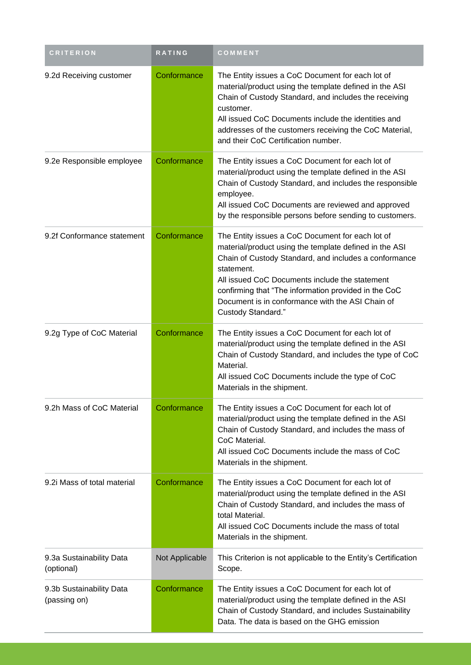| <b>CRITERION</b>                         | <b>RATING</b>  | COMMENT                                                                                                                                                                                                                                                                                                                                                               |
|------------------------------------------|----------------|-----------------------------------------------------------------------------------------------------------------------------------------------------------------------------------------------------------------------------------------------------------------------------------------------------------------------------------------------------------------------|
| 9.2d Receiving customer                  | Conformance    | The Entity issues a CoC Document for each lot of<br>material/product using the template defined in the ASI<br>Chain of Custody Standard, and includes the receiving<br>customer.<br>All issued CoC Documents include the identities and<br>addresses of the customers receiving the CoC Material,<br>and their CoC Certification number.                              |
| 9.2e Responsible employee                | Conformance    | The Entity issues a CoC Document for each lot of<br>material/product using the template defined in the ASI<br>Chain of Custody Standard, and includes the responsible<br>employee.<br>All issued CoC Documents are reviewed and approved<br>by the responsible persons before sending to customers.                                                                   |
| 9.2f Conformance statement               | Conformance    | The Entity issues a CoC Document for each lot of<br>material/product using the template defined in the ASI<br>Chain of Custody Standard, and includes a conformance<br>statement.<br>All issued CoC Documents include the statement<br>confirming that "The information provided in the CoC<br>Document is in conformance with the ASI Chain of<br>Custody Standard." |
| 9.2g Type of CoC Material                | Conformance    | The Entity issues a CoC Document for each lot of<br>material/product using the template defined in the ASI<br>Chain of Custody Standard, and includes the type of CoC<br>Material.<br>All issued CoC Documents include the type of CoC<br>Materials in the shipment.                                                                                                  |
| 9.2h Mass of CoC Material                | Conformance    | The Entity issues a CoC Document for each lot of<br>material/product using the template defined in the ASI<br>Chain of Custody Standard, and includes the mass of<br>CoC Material.<br>All issued CoC Documents include the mass of CoC<br>Materials in the shipment.                                                                                                  |
| 9.2i Mass of total material              | Conformance    | The Entity issues a CoC Document for each lot of<br>material/product using the template defined in the ASI<br>Chain of Custody Standard, and includes the mass of<br>total Material.<br>All issued CoC Documents include the mass of total<br>Materials in the shipment.                                                                                              |
| 9.3a Sustainability Data<br>(optional)   | Not Applicable | This Criterion is not applicable to the Entity's Certification<br>Scope.                                                                                                                                                                                                                                                                                              |
| 9.3b Sustainability Data<br>(passing on) | Conformance    | The Entity issues a CoC Document for each lot of<br>material/product using the template defined in the ASI<br>Chain of Custody Standard, and includes Sustainability<br>Data. The data is based on the GHG emission                                                                                                                                                   |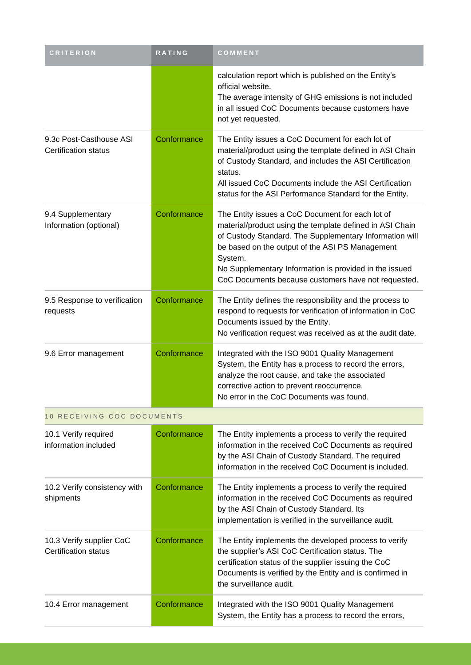| <b>CRITERION</b>                                        | RATING      | COMMENT                                                                                                                                                                                                                                                                                                                                                |
|---------------------------------------------------------|-------------|--------------------------------------------------------------------------------------------------------------------------------------------------------------------------------------------------------------------------------------------------------------------------------------------------------------------------------------------------------|
|                                                         |             | calculation report which is published on the Entity's<br>official website.<br>The average intensity of GHG emissions is not included<br>in all issued CoC Documents because customers have<br>not yet requested.                                                                                                                                       |
| 9.3c Post-Casthouse ASI<br><b>Certification status</b>  | Conformance | The Entity issues a CoC Document for each lot of<br>material/product using the template defined in ASI Chain<br>of Custody Standard, and includes the ASI Certification<br>status.<br>All issued CoC Documents include the ASI Certification<br>status for the ASI Performance Standard for the Entity.                                                |
| 9.4 Supplementary<br>Information (optional)             | Conformance | The Entity issues a CoC Document for each lot of<br>material/product using the template defined in ASI Chain<br>of Custody Standard. The Supplementary Information will<br>be based on the output of the ASI PS Management<br>System.<br>No Supplementary Information is provided in the issued<br>CoC Documents because customers have not requested. |
| 9.5 Response to verification<br>requests                | Conformance | The Entity defines the responsibility and the process to<br>respond to requests for verification of information in CoC<br>Documents issued by the Entity.<br>No verification request was received as at the audit date.                                                                                                                                |
| 9.6 Error management                                    | Conformance | Integrated with the ISO 9001 Quality Management<br>System, the Entity has a process to record the errors,<br>analyze the root cause, and take the associated<br>corrective action to prevent reoccurrence.<br>No error in the CoC Documents was found.                                                                                                 |
| 10 RECEIVING COC DOCUMENTS                              |             |                                                                                                                                                                                                                                                                                                                                                        |
| 10.1 Verify required<br>information included            | Conformance | The Entity implements a process to verify the required<br>information in the received CoC Documents as required<br>by the ASI Chain of Custody Standard. The required<br>information in the received CoC Document is included.                                                                                                                         |
| 10.2 Verify consistency with<br>shipments               | Conformance | The Entity implements a process to verify the required<br>information in the received CoC Documents as required<br>by the ASI Chain of Custody Standard. Its<br>implementation is verified in the surveillance audit.                                                                                                                                  |
| 10.3 Verify supplier CoC<br><b>Certification status</b> | Conformance | The Entity implements the developed process to verify<br>the supplier's ASI CoC Certification status. The<br>certification status of the supplier issuing the CoC<br>Documents is verified by the Entity and is confirmed in<br>the surveillance audit.                                                                                                |
| 10.4 Error management                                   | Conformance | Integrated with the ISO 9001 Quality Management<br>System, the Entity has a process to record the errors,                                                                                                                                                                                                                                              |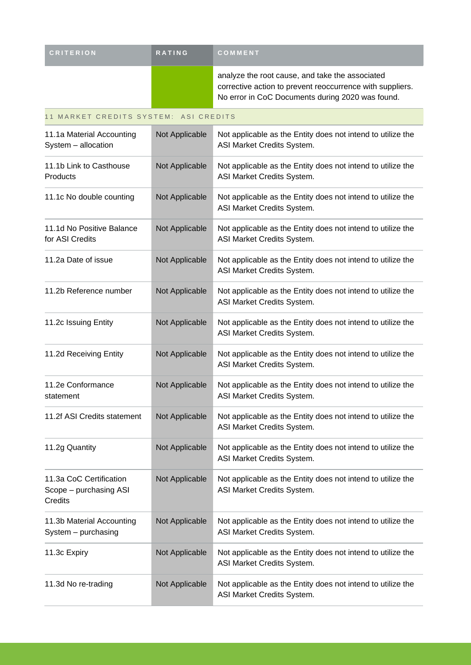| <b>CRITERION</b> | <b>RATING</b> | COMMENT                                                                                                                                                          |
|------------------|---------------|------------------------------------------------------------------------------------------------------------------------------------------------------------------|
|                  |               | analyze the root cause, and take the associated<br>corrective action to prevent reoccurrence with suppliers.<br>No error in CoC Documents during 2020 was found. |

| 11 MARKET CREDITS SYSTEM: ASI CREDITS                        |                |                                                                                           |  |  |
|--------------------------------------------------------------|----------------|-------------------------------------------------------------------------------------------|--|--|
| 11.1a Material Accounting<br>System - allocation             | Not Applicable | Not applicable as the Entity does not intend to utilize the<br>ASI Market Credits System. |  |  |
| 11.1b Link to Casthouse<br>Products                          | Not Applicable | Not applicable as the Entity does not intend to utilize the<br>ASI Market Credits System. |  |  |
| 11.1c No double counting                                     | Not Applicable | Not applicable as the Entity does not intend to utilize the<br>ASI Market Credits System. |  |  |
| 11.1d No Positive Balance<br>for ASI Credits                 | Not Applicable | Not applicable as the Entity does not intend to utilize the<br>ASI Market Credits System. |  |  |
| 11.2a Date of issue                                          | Not Applicable | Not applicable as the Entity does not intend to utilize the<br>ASI Market Credits System. |  |  |
| 11.2b Reference number                                       | Not Applicable | Not applicable as the Entity does not intend to utilize the<br>ASI Market Credits System. |  |  |
| 11.2c Issuing Entity                                         | Not Applicable | Not applicable as the Entity does not intend to utilize the<br>ASI Market Credits System. |  |  |
| 11.2d Receiving Entity                                       | Not Applicable | Not applicable as the Entity does not intend to utilize the<br>ASI Market Credits System. |  |  |
| 11.2e Conformance<br>statement                               | Not Applicable | Not applicable as the Entity does not intend to utilize the<br>ASI Market Credits System. |  |  |
| 11.2f ASI Credits statement                                  | Not Applicable | Not applicable as the Entity does not intend to utilize the<br>ASI Market Credits System. |  |  |
| 11.2g Quantity                                               | Not Applicable | Not applicable as the Entity does not intend to utilize the<br>ASI Market Credits System. |  |  |
| 11.3a CoC Certification<br>Scope - purchasing ASI<br>Credits | Not Applicable | Not applicable as the Entity does not intend to utilize the<br>ASI Market Credits System. |  |  |
| 11.3b Material Accounting<br>System - purchasing             | Not Applicable | Not applicable as the Entity does not intend to utilize the<br>ASI Market Credits System. |  |  |
| 11.3c Expiry                                                 | Not Applicable | Not applicable as the Entity does not intend to utilize the<br>ASI Market Credits System. |  |  |
| 11.3d No re-trading                                          | Not Applicable | Not applicable as the Entity does not intend to utilize the<br>ASI Market Credits System. |  |  |